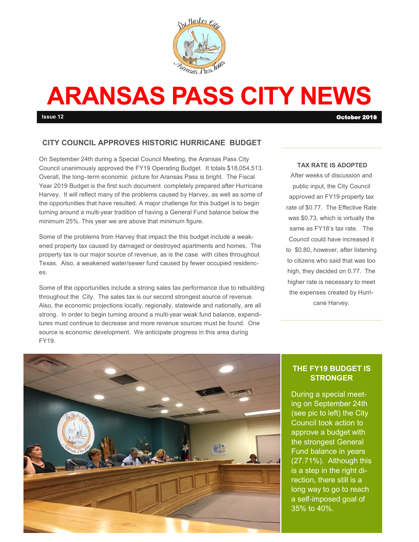

# **ARANSAS PASS CITY NEWS**

**Issue 12** October 2018

#### **CITY COUNCIL APPROVES HISTORIC HURRICANE BUDGET**

On September 24th during a Special Council Meeting, the Aransas Pass City Council unanimously approved the FY19 Operating Budget. It totals \$18,054,513. Overall, the long–term economic picture for Aransas Pass is bright. The Fiscal Year 2019 Budget is the first such document completely prepared after Hurricane Harvey. It will reflect many of the problems caused by Harvey, as well as some of the opportunities that have resulted. A major challenge for this budget is to begin turning around a multi-year tradition of having a General Fund balance below the minimum 25%. This year we are above that minimum figure.

Some of the problems from Harvey that impact the this budget include a weakened property tax caused by damaged or destroyed apartments and homes. The property tax is our major source of revenue, as is the case with cities throughout Texas. Also, a weakened water/sewer fund caused by fewer occupied residences.

Some of the opportunities include a strong sales tax performance due to rebuilding throughout the City. The sales tax is our second strongest source of revenue. Also, the economic projections locally, regionally, statewide and nationally, are all strong. In order to begin turning around a multi-year weak fund balance, expenditures must continue to decrease and more revenue sources must be found. One source is economic development. We anticipate progress in this area during FY19.

#### **TAX RATE IS ADOPTED**

After weeks of discussion and public input, the City Council approved an FY19 property tax rate of \$0.77. The Effective Rate was \$0.73, which is virtually the same as FY18's tax rate. The Council could have increased it to \$0.80, however, after listening to citizens who said that was too high, they decided on 0.77. The higher rate is necessary to meet the expenses created by Hurricane Harvey.



#### **THE FY19 BUDGET IS STRONGER**

During a special meeting on September 24th (see pic to left) the City Council took action to approve a budget with the strongest General Fund balance in years (27.71%). Although this is a step in the right direction, there still is a long way to go to reach a self-imposed goal of 35% to 40%.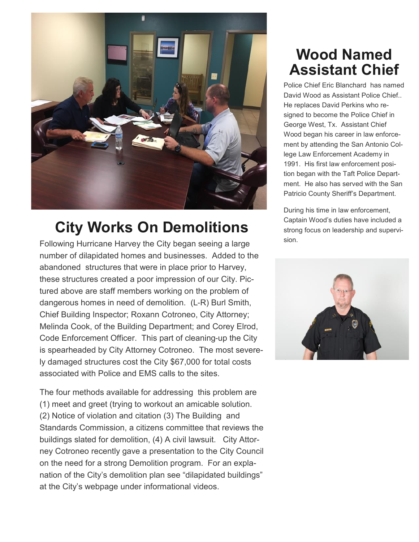

## **City Works On Demolitions**

Following Hurricane Harvey the City began seeing a large number of dilapidated homes and businesses. Added to the abandoned structures that were in place prior to Harvey, these structures created a poor impression of our City. Pictured above are staff members working on the problem of dangerous homes in need of demolition. (L-R) Burl Smith, Chief Building Inspector; Roxann Cotroneo, City Attorney; Melinda Cook, of the Building Department; and Corey Elrod, Code Enforcement Officer. This part of cleaning-up the City is spearheaded by City Attorney Cotroneo. The most severely damaged structures cost the City \$67,000 for total costs associated with Police and EMS calls to the sites.

The four methods available for addressing this problem are (1) meet and greet (trying to workout an amicable solution. (2) Notice of violation and citation (3) The Building and Standards Commission, a citizens committee that reviews the buildings slated for demolition, (4) A civil lawsuit. City Attorney Cotroneo recently gave a presentation to the City Council on the need for a strong Demolition program. For an explanation of the City's demolition plan see "dilapidated buildings" at the City's webpage under informational videos.

### **Wood Named Assistant Chief**

Police Chief Eric Blanchard has named David Wood as Assistant Police Chief.. He replaces David Perkins who resigned to become the Police Chief in George West, Tx. Assistant Chief Wood began his career in law enforcement by attending the San Antonio College Law Enforcement Academy in 1991. His first law enforcement position began with the Taft Police Department. He also has served with the San Patricio County Sheriff's Department.

During his time in law enforcement, Captain Wood's duties have included a strong focus on leadership and supervision.

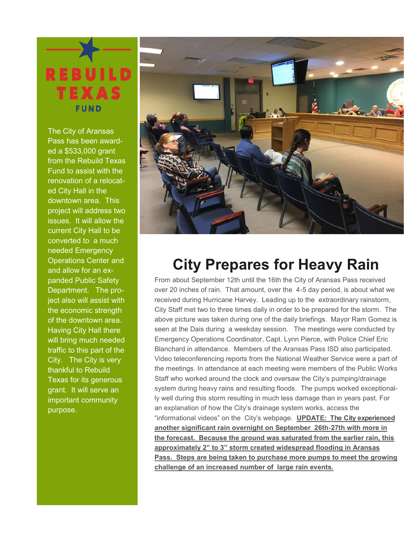

The City of Aransas Pass has been awarded a \$533,000 grant from the Rebuild Texas Fund to assist with the renovation of a relocated City Hall in the downtown area. This project will address two issues. It will allow the current City Hall to be converted to a much needed Emergency Operations Center and and allow for an expanded Public Safety Department. The project also will assist with the economic strength of the downtown area. Having City Hall there will bring much needed traffic to this part of the City. The City is very thankful to Rebuild Texas for its generous grant. It will serve an important community purpose.



### **City Prepares for Heavy Rain**

From about September 12th until the 16th the City of Aransas Pass received over 20 inches of rain. That amount, over the 4-5 day period, is about what we received during Hurricane Harvey. Leading up to the extraordinary rainstorm, City Staff met two to three times daily in order to be prepared for the storm. The above picture was taken during one of the daily briefings. Mayor Ram Gomez is seen at the Dais during a weekday session. The meetings were conducted by Emergency Operations Coordinator, Capt. Lynn Pierce, with Police Chief Eric Blanchard in attendance. Members of the Aransas Pass ISD also participated. Video teleconferencing reports from the National Weather Service were a part of the meetings. In attendance at each meeting were members of the Public Works Staff who worked around the clock and oversaw the City's pumping/drainage system during heavy rains and resulting floods. The pumps worked exceptionally well during this storm resulting in much less damage than in years past. For an explanation of how the City's drainage system works, access the "informational videos" on the City's webpage. **UPDATE: The City experienced another significant rain overnight on September 26th-27th with more in the forecast. Because the ground was saturated from the earlier rain, this approximately 2" to 3" storm created widespread flooding in Aransas Pass. Steps are being taken to purchase more pumps to meet the growing challenge of an increased number of large rain events.**